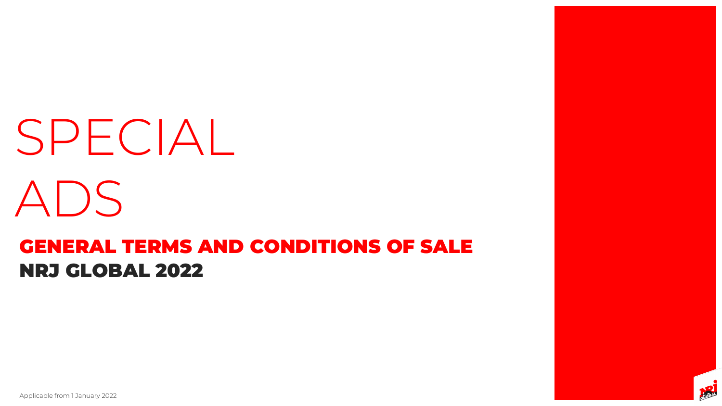# NRJ GLOBAL 2022 GENERAL TERMS AND CONDITIONS OF SALE SPECIAL ADS

Applicable from 1 January 2022



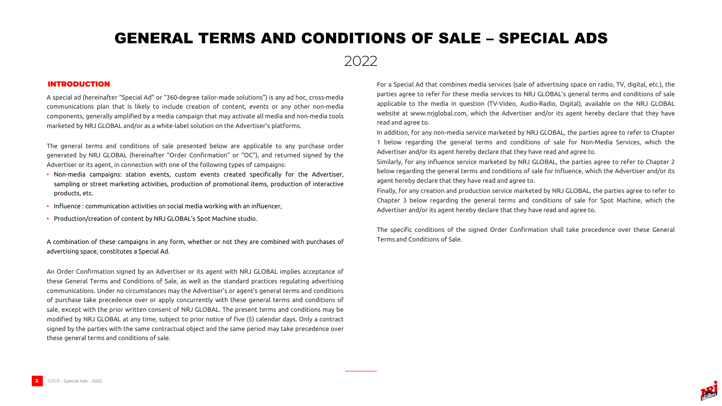2022

A special ad (hereinafter "Special Ad" or "360-degree tailor-made solutions") is any ad hoc, cross-media communications plan that is likely to include creation of content, events or any other non-media components, generally amplified by a media campaign that may activate all media and non-media tools marketed by NRJ GLOBAL and/or as a white-label solution on the Advertiser's platforms.

The general terms and conditions of sale presented below are applicable to any purchase order generated by NRJ GLOBAL (hereinafter "Order Confirmation" or "OC"), and returned signed by the Advertiser or its agent, in connection with one of the following types of campaigns:

- Non-media campaigns: station events, custom events created specifically for the Advertiser, sampling or street marketing activities, production of promotional items, production of interactive products, etc.
- Influence : communication activities on social media working with an influencer,
- Production/creation of content by NRJ GLOBAL's Spot Machine studio.

A combination of these campaigns in any form, whether or not they are combined with purchases of advertising space, constitutes a Special Ad.

An Order Confirmation signed by an Advertiser or its agent with NRJ GLOBAL implies acceptance of these General Terms and Conditions of Sale, as well as the standard practices regulating advertising communications. Under no circumstances may the Advertiser's or agent's general terms and conditions of purchase take precedence over or apply concurrently with these general terms and conditions of sale, except with the prior written consent of NRJ GLOBAL. The present terms and conditions may be modified by NRJ GLOBAL at any time, subject to prior notice of five (5) calendar days. Only a contract signed by the parties with the same contractual object and the same period may take precedence over these general terms and conditions of sale.

For a Special Ad that combines media services (sale of advertising space on radio, TV, digital, etc.), the parties agree to refer for these media services to NRJ GLOBAL's general terms and conditions of sale applicable to the media in question (TV-Video, Audio-Radio, Digital), available on the NRJ GLOBAL website at www.nrjglobal.com, which the Advertiser and/or its agent hereby declare that they have read and agree to.

In addition, for any non-media service marketed by NRJ GLOBAL, the parties agree to refer to Chapter 1 below regarding the general terms and conditions of sale for Non-Media Services, which the Advertiser and/or its agent hereby declare that they have read and agree to.

Similarly, for any influence service marketed by NRJ GLOBAL, the parties agree to refer to Chapter 2 below regarding the general terms and conditions of sale for Influence, which the Advertiser and/or its

agent hereby declare that they have read and agree to.

Finally, for any creation and production service marketed by NRJ GLOBAL, the parties agree to refer to Chapter 3 below regarding the general terms and conditions of sale for Spot Machine, which the Advertiser and/or its agent hereby declare that they have read and agree to.

The specific conditions of the signed Order Confirmation shall take precedence over these General



Terms and Conditions of Sale.

### INTRODUCTION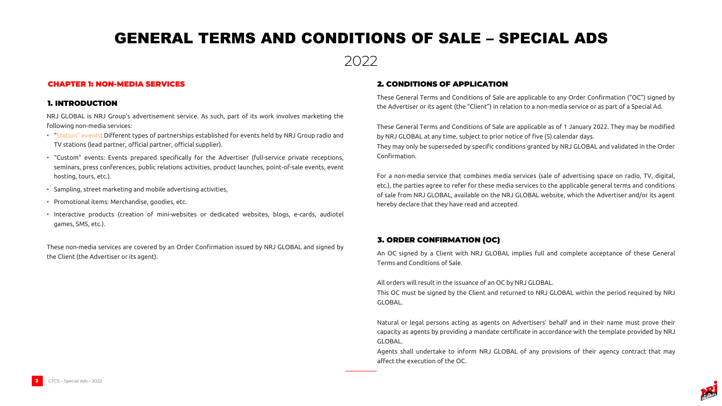

NRJ GLOBAL is NRJ Group's advertisement service. As such, part of its work involves marketing the following non-media services:

- "Station" events: Different types of partnerships established for events held by NRJ Group radio and TV stations (lead partner, official partner, official supplier).
- "Custom" events: Events prepared specifically for the Advertiser (full-service private receptions, seminars, press conferences, public relations activities, product launches, point-of-sale events, event hosting, tours, etc.).
- Sampling, street marketing and mobile advertising activities,
- Promotional items: Merchandise, goodies, etc.
- Interactive products (creation of mini-websites or dedicated websites, blogs, e-cards, audiotel games, SMS, etc.).

These non-media services are covered by an Order Confirmation issued by NRJ GLOBAL and signed by the Client (the Advertiser or its agent).

These General Terms and Conditions of Sale are applicable to any Order Confirmation ("OC") signed by the Advertiser or its agent (the "Client") in relation to a non-media service or as part of a Special Ad.

These General Terms and Conditions of Sale are applicable as of 1 January 2022. They may be modified by NRJ GLOBAL at any time, subject to prior notice of five (5) calendar days.

They may only be superseded by specific conditions granted by NRJ GLOBAL and validated in the Order

Confirmation.

For a non-media service that combines media services (sale of advertising space on radio, TV, digital, etc.), the parties agree to refer for these media services to the applicable general terms and conditions of sale from NRJ GLOBAL, available on the NRJ GLOBAL website, which the Advertiser and/or its agent hereby declare that they have read and accepted.

### CHAPTER 1: NON-MEDIA SERVICES

#### 1. INTRODUCTION

### 2. CONDITIONS OF APPLICATION

An OC signed by a Client with NRJ GLOBAL implies full and complete acceptance of these General

Terms and Conditions of Sale.

All orders will result in the issuance of an OC by NRJ GLOBAL. This OC must be signed by the Client and returned to NRJ GLOBAL within the period required by NRJ GLOBAL.

Natural or legal persons acting as agents on Advertisers' behalf and in their name must prove their capacity as agents by providing a mandate certificate in accordance with the template provided by NRJ GLOBAL.

Agents shall undertake to inform NRJ GLOBAL of any provisions of their agency contract that may



affect the execution of the OC.

### 3. ORDER CONFIRMATION (OC)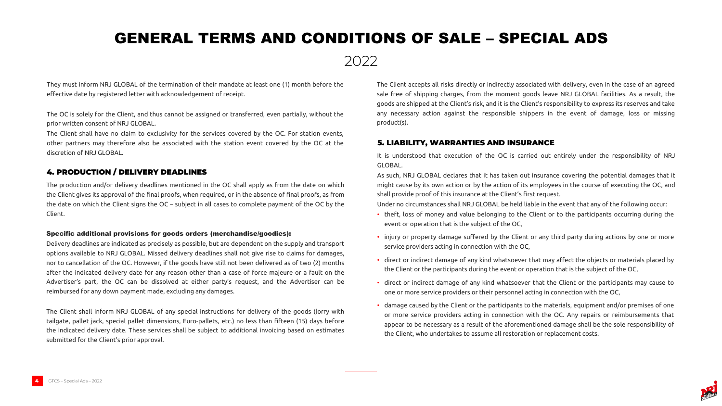

They must inform NRJ GLOBAL of the termination of their mandate at least one (1) month before the effective date by registered letter with acknowledgement of receipt.

The OC is solely for the Client, and thus cannot be assigned or transferred, even partially, without the prior written consent of NRJ GLOBAL.

The Client shall have no claim to exclusivity for the services covered by the OC. For station events, other partners may therefore also be associated with the station event covered by the OC at the discretion of NRJ GLOBAL.

The Client accepts all risks directly or indirectly associated with delivery, even in the case of an agreed sale free of shipping charges, from the moment goods leave NRJ GLOBAL facilities. As a result, the goods are shipped at the Client's risk, and it is the Client's responsibility to express its reserves and take any necessary action against the responsible shippers in the event of damage, loss or missing product(s).

It is understood that execution of the OC is carried out entirely under the responsibility of NRJ

GLOBAL.

As such, NRJ GLOBAL declares that it has taken out insurance covering the potential damages that it might cause by its own action or by the action of its employees in the course of executing the OC, and shall provide proof of this insurance at the Client's first request. Under no circumstances shall NRJ GLOBAL be held liable in the event that any of the following occur:

• theft, loss of money and value belonging to the Client or to the participants occurring during the

• injury or property damage suffered by the Client or any third party during actions by one or more

- event or operation that is the subject of the OC,
- service providers acting in connection with the OC,
- 
- 
- 

• direct or indirect damage of any kind whatsoever that may affect the objects or materials placed by the Client or the participants during the event or operation that is the subject of the OC,

• direct or indirect damage of any kind whatsoever that the Client or the participants may cause to one or more service providers or their personnel acting in connection with the OC,

• damage caused by the Client or the participants to the materials, equipment and/or premises of one or more service providers acting in connection with the OC. Any repairs or reimbursements that appear to be necessary as a result of the aforementioned damage shall be the sole responsibility of the Client, who undertakes to assume all restoration or replacement costs.



### 5. LIABILITY, WARRANTIES AND INSURANCE

The production and/or delivery deadlines mentioned in the OC shall apply as from the date on which the Client gives its approval of the final proofs, when required, or in the absence of final proofs, as from the date on which the Client signs the OC – subject in all cases to complete payment of the OC by the Client.

#### Specific additional provisions for goods orders (merchandise/goodies):

Delivery deadlines are indicated as precisely as possible, but are dependent on the supply and transport options available to NRJ GLOBAL. Missed delivery deadlines shall not give rise to claims for damages, nor to cancellation of the OC. However, if the goods have still not been delivered as of two (2) months after the indicated delivery date for any reason other than a case of force majeure or a fault on the Advertiser's part, the OC can be dissolved at either party's request, and the Advertiser can be reimbursed for any down payment made, excluding any damages.

The Client shall inform NRJ GLOBAL of any special instructions for delivery of the goods (lorry with tailgate, pallet jack, special pallet dimensions, Euro-pallets, etc.) no less than fifteen (15) days before the indicated delivery date. These services shall be subject to additional invoicing based on estimates submitted for the Client's prior approval.

### 4. PRODUCTION / DELIVERY DEADLINES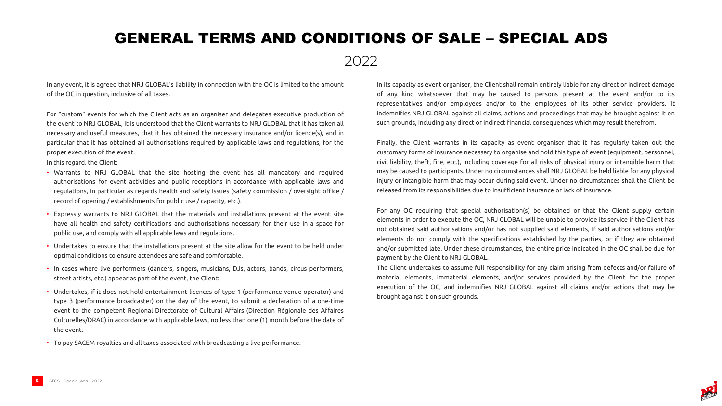



In any event, it is agreed that NRJ GLOBAL's liability in connection with the OC is limited to the amount of the OC in question, inclusive of all taxes.

For "custom" events for which the Client acts as an organiser and delegates executive production of the event to NRJ GLOBAL, it is understood that the Client warrants to NRJ GLOBAL that it has taken all necessary and useful measures, that it has obtained the necessary insurance and/or licence(s), and in particular that it has obtained all authorisations required by applicable laws and regulations, for the proper execution of the event.

In this regard, the Client:

- Warrants to NRJ GLOBAL that the site hosting the event has all mandatory and required authorisations for event activities and public receptions in accordance with applicable laws and regulations, in particular as regards health and safety issues (safety commission / oversight office / record of opening / establishments for public use / capacity, etc.).
- Expressly warrants to NRJ GLOBAL that the materials and installations present at the event site have all health and safety certifications and authorisations necessary for their use in a space for public use, and comply with all applicable laws and regulations.
- Undertakes to ensure that the installations present at the site allow for the event to be held under optimal conditions to ensure attendees are safe and comfortable.
- In cases where live performers (dancers, singers, musicians, DJs, actors, bands, circus performers, street artists, etc.) appear as part of the event, the Client:
- Undertakes, if it does not hold entertainment licences of type 1 (performance venue operator) and type 3 (performance broadcaster) on the day of the event, to submit a declaration of a one-time event to the competent Regional Directorate of Cultural Affairs (Direction Régionale des Affaires Culturelles/DRAC) in accordance with applicable laws, no less than one (1) month before the date of the event.
- To pay SACEM royalties and all taxes associated with broadcasting a live performance.

In its capacity as event organiser, the Client shall remain entirely liable for any direct or indirect damage of any kind whatsoever that may be caused to persons present at the event and/or to its representatives and/or employees and/or to the employees of its other service providers. It indemnifies NRJ GLOBAL against all claims, actions and proceedings that may be brought against it on such grounds, including any direct or indirect financial consequences which may result therefrom.

Finally, the Client warrants in its capacity as event organiser that it has regularly taken out the customary forms of insurance necessary to organise and hold this type of event (equipment, personnel, civil liability, theft, fire, etc.), including coverage for all risks of physical injury or intangible harm that may be caused to participants. Under no circumstances shall NRJ GLOBAL be held liable for any physical injury or intangible harm that may occur during said event. Under no circumstances shall the Client be released from its responsibilities due to insufficient insurance or lack of insurance.

For any OC requiring that special authorisation(s) be obtained or that the Client supply certain elements in order to execute the OC, NRJ GLOBAL will be unable to provide its service if the Client has not obtained said authorisations and/or has not supplied said elements, if said authorisations and/or elements do not comply with the specifications established by the parties, or if they are obtained and/or submitted late. Under these circumstances, the entire price indicated in the OC shall be due for payment by the Client to NRJ GLOBAL. The Client undertakes to assume full responsibility for any claim arising from defects and/or failure of material elements, immaterial elements, and/or services provided by the Client for the proper execution of the OC, and indemnifies NRJ GLOBAL against all claims and/or actions that may be brought against it on such grounds.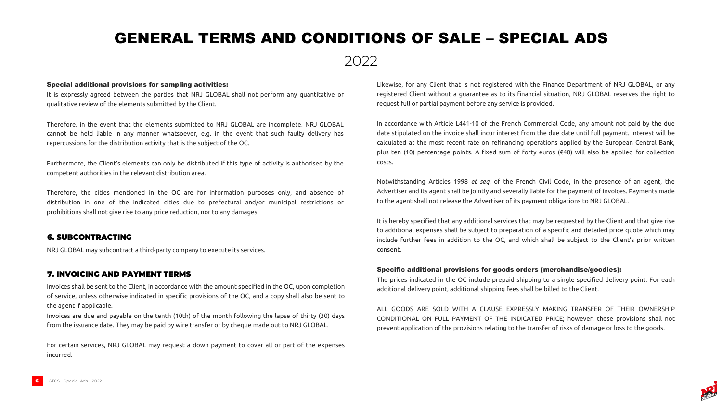

### 2022

#### Special additional provisions for sampling activities:

It is expressly agreed between the parties that NRJ GLOBAL shall not perform any quantitative or qualitative review of the elements submitted by the Client.

Therefore, in the event that the elements submitted to NRJ GLOBAL are incomplete, NRJ GLOBAL cannot be held liable in any manner whatsoever, e.g. in the event that such faulty delivery has repercussions for the distribution activity that is the subject of the OC.

Furthermore, the Client's elements can only be distributed if this type of activity is authorised by the competent authorities in the relevant distribution area.

Therefore, the cities mentioned in the OC are for information purposes only, and absence of distribution in one of the indicated cities due to prefectural and/or municipal restrictions or prohibitions shall not give rise to any price reduction, nor to any damages.

Likewise, for any Client that is not registered with the Finance Department of NRJ GLOBAL, or any registered Client without a guarantee as to its financial situation, NRJ GLOBAL reserves the right to request full or partial payment before any service is provided.

In accordance with Article L441-10 of the French Commercial Code, any amount not paid by the due date stipulated on the invoice shall incur interest from the due date until full payment. Interest will be calculated at the most recent rate on refinancing operations applied by the European Central Bank, plus ten (10) percentage points. A fixed sum of forty euros (€40) will also be applied for collection costs.

Notwithstanding Articles 1998 *et seq.* of the French Civil Code, in the presence of an agent, the Advertiser and its agent shall be jointly and severally liable for the payment of invoices. Payments made to the agent shall not release the Advertiser of its payment obligations to NRJ GLOBAL.

It is hereby specified that any additional services that may be requested by the Client and that give rise to additional expenses shall be subject to preparation of a specific and detailed price quote which may include further fees in addition to the OC, and which shall be subject to the Client's prior written consent.

### Specific additional provisions for goods orders (merchandise/goodies):

The prices indicated in the OC include prepaid shipping to a single specified delivery point. For each additional delivery point, additional shipping fees shall be billed to the Client.

ALL GOODS ARE SOLD WITH A CLAUSE EXPRESSLY MAKING TRANSFER OF THEIR OWNERSHIP CONDITIONAL ON FULL PAYMENT OF THE INDICATED PRICE; however, these provisions shall not prevent application of the provisions relating to the transfer of risks of damage or loss to the goods.

NRJ GLOBAL may subcontract a third-party company to execute its services.

### 6. SUBCONTRACTING

Invoices shall be sent to the Client, in accordance with the amount specified in the OC, upon completion of service, unless otherwise indicated in specific provisions of the OC, and a copy shall also be sent to the agent if applicable.

Invoices are due and payable on the tenth (10th) of the month following the lapse of thirty (30) days from the issuance date. They may be paid by wire transfer or by cheque made out to NRJ GLOBAL.

For certain services, NRJ GLOBAL may request a down payment to cover all or part of the expenses incurred.

### 7. INVOICING AND PAYMENT TERMS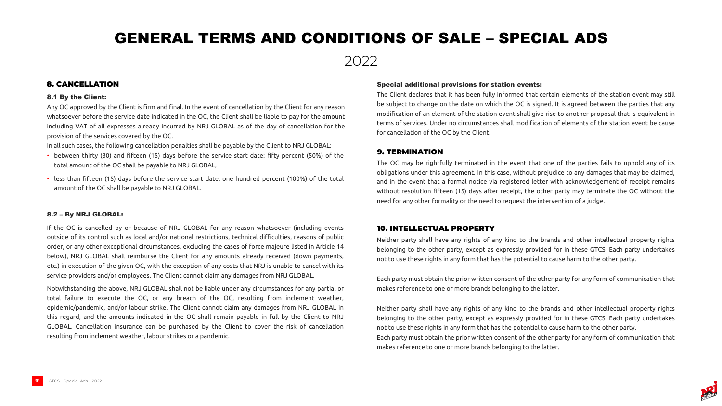



#### Special additional provisions for station events:

The Client declares that it has been fully informed that certain elements of the station event may still be subject to change on the date on which the OC is signed. It is agreed between the parties that any modification of an element of the station event shall give rise to another proposal that is equivalent in terms of services. Under no circumstances shall modification of elements of the station event be cause for cancellation of the OC by the Client.

#### 8.1 By the Client:

Any OC approved by the Client is firm and final. In the event of cancellation by the Client for any reason whatsoever before the service date indicated in the OC, the Client shall be liable to pay for the amount including VAT of all expresses already incurred by NRJ GLOBAL as of the day of cancellation for the provision of the services covered by the OC.

In all such cases, the following cancellation penalties shall be payable by the Client to NRJ GLOBAL:

- between thirty (30) and fifteen (15) days before the service start date: fifty percent (50%) of the total amount of the OC shall be payable to NRJ GLOBAL,
- less than fifteen (15) days before the service start date: one hundred percent (100%) of the total amount of the OC shall be payable to NRJ GLOBAL.

#### 8.2 – By NRJ GLOBAL:

If the OC is cancelled by or because of NRJ GLOBAL for any reason whatsoever (including events outside of its control such as local and/or national restrictions, technical difficulties, reasons of public order, or any other exceptional circumstances, excluding the cases of force majeure listed in Article 14 below), NRJ GLOBAL shall reimburse the Client for any amounts already received (down payments, etc.) in execution of the given OC, with the exception of any costs that NRJ is unable to cancel with its service providers and/or employees. The Client cannot claim any damages from NRJ GLOBAL.

Notwithstanding the above, NRJ GLOBAL shall not be liable under any circumstances for any partial or total failure to execute the OC, or any breach of the OC, resulting from inclement weather, epidemic/pandemic, and/or labour strike. The Client cannot claim any damages from NRJ GLOBAL in this regard, and the amounts indicated in the OC shall remain payable in full by the Client to NRJ GLOBAL. Cancellation insurance can be purchased by the Client to cover the risk of cancellation resulting from inclement weather, labour strikes or a pandemic.

### 8. CANCELLATION

The OC may be rightfully terminated in the event that one of the parties fails to uphold any of its obligations under this agreement. In this case, without prejudice to any damages that may be claimed, and in the event that a formal notice via registered letter with acknowledgement of receipt remains without resolution fifteen (15) days after receipt, the other party may terminate the OC without the need for any other formality or the need to request the intervention of a judge.

### 9. TERMINATION

Neither party shall have any rights of any kind to the brands and other intellectual property rights belonging to the other party, except as expressly provided for in these GTCS. Each party undertakes not to use these rights in any form that has the potential to cause harm to the other party.

Each party must obtain the prior written consent of the other party for any form of communication that makes reference to one or more brands belonging to the latter.

Neither party shall have any rights of any kind to the brands and other intellectual property rights belonging to the other party, except as expressly provided for in these GTCS. Each party undertakes not to use these rights in any form that has the potential to cause harm to the other party. Each party must obtain the prior written consent of the other party for any form of communication that makes reference to one or more brands belonging to the latter.

### 10. INTELLECTUAL PROPERTY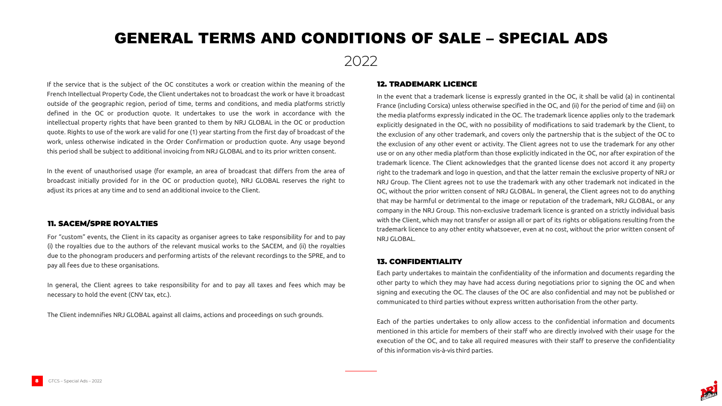



If the service that is the subject of the OC constitutes a work or creation within the meaning of the French Intellectual Property Code, the Client undertakes not to broadcast the work or have it broadcast outside of the geographic region, period of time, terms and conditions, and media platforms strictly defined in the OC or production quote. It undertakes to use the work in accordance with the intellectual property rights that have been granted to them by NRJ GLOBAL in the OC or production quote. Rights to use of the work are valid for one (1) year starting from the first day of broadcast of the work, unless otherwise indicated in the Order Confirmation or production quote. Any usage beyond this period shall be subject to additional invoicing from NRJ GLOBAL and to its prior written consent.

In the event of unauthorised usage (for example, an area of broadcast that differs from the area of broadcast initially provided for in the OC or production quote), NRJ GLOBAL reserves the right to adjust its prices at any time and to send an additional invoice to the Client.

In the event that a trademark license is expressly granted in the OC, it shall be valid (a) in continental France (including Corsica) unless otherwise specified in the OC, and (ii) for the period of time and (iii) on the media platforms expressly indicated in the OC. The trademark licence applies only to the trademark explicitly designated in the OC, with no possibility of modifications to said trademark by the Client, to the exclusion of any other trademark, and covers only the partnership that is the subject of the OC to the exclusion of any other event or activity. The Client agrees not to use the trademark for any other use or on any other media platform than those explicitly indicated in the OC, nor after expiration of the trademark licence. The Client acknowledges that the granted license does not accord it any property right to the trademark and logo in question, and that the latter remain the exclusive property of NRJ or NRJ Group. The Client agrees not to use the trademark with any other trademark not indicated in the OC, without the prior written consent of NRJ GLOBAL. In general, the Client agrees not to do anything that may be harmful or detrimental to the image or reputation of the trademark, NRJ GLOBAL, or any company in the NRJ Group. This non-exclusive trademark licence is granted on a strictly individual basis with the Client, which may not transfer or assign all or part of its rights or obligations resulting from the trademark licence to any other entity whatsoever, even at no cost, without the prior written consent of NRJ GLOBAL.

### 12. TRADEMARK LICENCE

Each party undertakes to maintain the confidentiality of the information and documents regarding the other party to which they may have had access during negotiations prior to signing the OC and when signing and executing the OC. The clauses of the OC are also confidential and may not be published or communicated to third parties without express written authorisation from the other party.

Each of the parties undertakes to only allow access to the confidential information and documents mentioned in this article for members of their staff who are directly involved with their usage for the execution of the OC, and to take all required measures with their staff to preserve the confidentiality of this information vis-à-vis third parties.

### 13. CONFIDENTIALITY

For "custom" events, the Client in its capacity as organiser agrees to take responsibility for and to pay (i) the royalties due to the authors of the relevant musical works to the SACEM, and (ii) the royalties due to the phonogram producers and performing artists of the relevant recordings to the SPRE, and to pay all fees due to these organisations.

In general, the Client agrees to take responsibility for and to pay all taxes and fees which may be necessary to hold the event (CNV tax, etc.).

The Client indemnifies NRJ GLOBAL against all claims, actions and proceedings on such grounds.

### 11. SACEM/SPRE ROYALTIES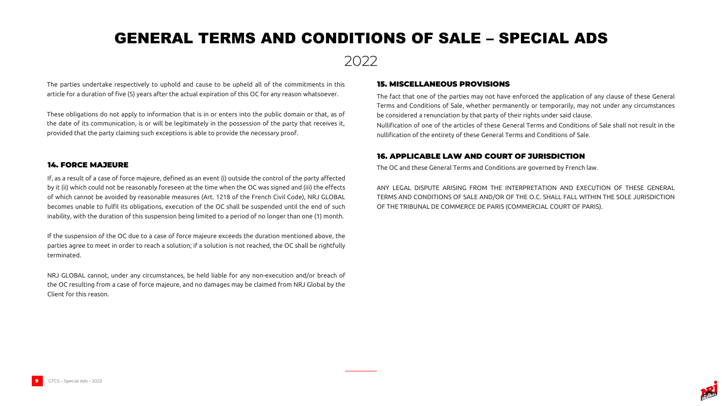



The parties undertake respectively to uphold and cause to be upheld all of the commitments in this article for a duration of five (5) years after the actual expiration of this OC for any reason whatsoever.

These obligations do not apply to information that is in or enters into the public domain or that, as of the date of its communication, is or will be legitimately in the possession of the party that receives it, provided that the party claiming such exceptions is able to provide the necessary proof.

The fact that one of the parties may not have enforced the application of any clause of these General Terms and Conditions of Sale, whether permanently or temporarily, may not under any circumstances be considered a renunciation by that party of their rights under said clause. Nullification of one of the articles of these General Terms and Conditions of Sale shall not result in the nullification of the entirety of these General Terms and Conditions of Sale.

### 15. MISCELLANEOUS PROVISIONS

The OC and these General Terms and Conditions are governed by French law.

ANY LEGAL DISPUTE ARISING FROM THE INTERPRETATION AND EXECUTION OF THESE GENERAL TERMS AND CONDITIONS OF SALE AND/OR OF THE O.C. SHALL FALL WITHIN THE SOLE JURISDICTION OF THE TRIBUNAL DE COMMERCE DE PARIS (COMMERCIAL COURT OF PARIS).

### 16. APPLICABLE LAW AND COURT OF JURISDICTION

If, as a result of a case of force majeure, defined as an event (i) outside the control of the party affected by it (ii) which could not be reasonably foreseen at the time when the OC was signed and (iii) the effects of which cannot be avoided by reasonable measures (Art. 1218 of the French Civil Code), NRJ GLOBAL becomes unable to fulfil its obligations, execution of the OC shall be suspended until the end of such inability, with the duration of this suspension being limited to a period of no longer than one (1) month.

If the suspension of the OC due to a case of force majeure exceeds the duration mentioned above, the parties agree to meet in order to reach a solution; if a solution is not reached, the OC shall be rightfully terminated.

NRJ GLOBAL cannot, under any circumstances, be held liable for any non-execution and/or breach of the OC resulting from a case of force majeure, and no damages may be claimed from NRJ Global by the Client for this reason.

### 14. FORCE MAJEURE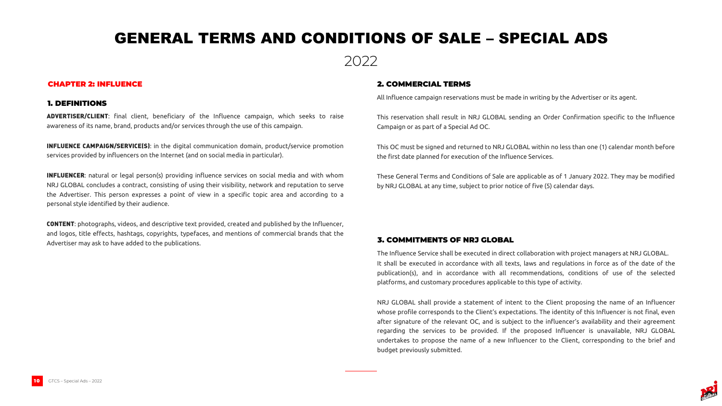



ADVERTISER/CLIENT: final client, beneficiary of the Influence campaign, which seeks to raise awareness of its name, brand, products and/or services through the use of this campaign.

INFLUENCE CAMPAIGN/SERVICE(S): in the digital communication domain, product/service promotion services provided by influencers on the Internet (and on social media in particular).

**INFLUENCER**: natural or legal person(s) providing influence services on social media and with whom NRJ GLOBAL concludes a contract, consisting of using their visibility, network and reputation to serve the Advertiser. This person expresses a point of view in a specific topic area and according to a personal style identified by their audience.

CONTENT: photographs, videos, and descriptive text provided, created and published by the Influencer, and logos, title effects, hashtags, copyrights, typefaces, and mentions of commercial brands that the Advertiser may ask to have added to the publications.

All Influence campaign reservations must be made in writing by the Advertiser or its agent.

This reservation shall result in NRJ GLOBAL sending an Order Confirmation specific to the Influence Campaign or as part of a Special Ad OC.

This OC must be signed and returned to NRJ GLOBAL within no less than one (1) calendar month before the first date planned for execution of the Influence Services.

These General Terms and Conditions of Sale are applicable as of 1 January 2022. They may be modified by NRJ GLOBAL at any time, subject to prior notice of five (5) calendar days.

#### CHAPTER 2: INFLUENCE

#### 1. DEFINITIONS

### 2. COMMERCIAL TERMS

The Influence Service shall be executed in direct collaboration with project managers at NRJ GLOBAL. It shall be executed in accordance with all texts, laws and regulations in force as of the date of the publication(s), and in accordance with all recommendations, conditions of use of the selected platforms, and customary procedures applicable to this type of activity.

NRJ GLOBAL shall provide a statement of intent to the Client proposing the name of an Influencer whose profile corresponds to the Client's expectations. The identity of this Influencer is not final, even after signature of the relevant OC, and is subject to the influencer's availability and their agreement regarding the services to be provided. If the proposed Influencer is unavailable, NRJ GLOBAL undertakes to propose the name of a new Influencer to the Client, corresponding to the brief and budget previously submitted.

### 3. COMMITMENTS OF NRJ GLOBAL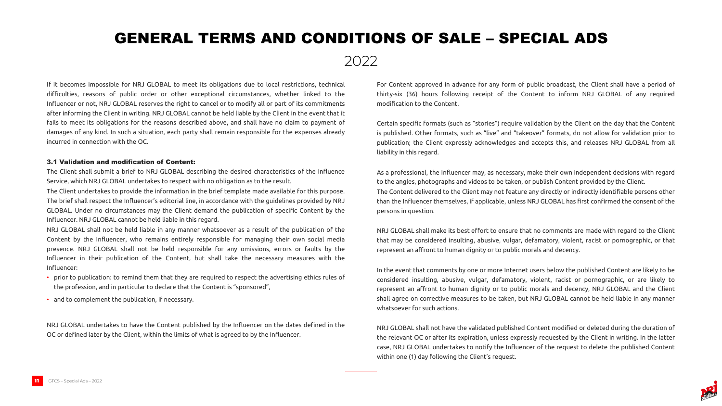



If it becomes impossible for NRJ GLOBAL to meet its obligations due to local restrictions, technical difficulties, reasons of public order or other exceptional circumstances, whether linked to the Influencer or not, NRJ GLOBAL reserves the right to cancel or to modify all or part of its commitments after informing the Client in writing. NRJ GLOBAL cannot be held liable by the Client in the event that it fails to meet its obligations for the reasons described above, and shall have no claim to payment of damages of any kind. In such a situation, each party shall remain responsible for the expenses already incurred in connection with the OC.

#### 3.1 Validation and modification of Content:

The Client shall submit a brief to NRJ GLOBAL describing the desired characteristics of the Influence Service, which NRJ GLOBAL undertakes to respect with no obligation as to the result.

The Client undertakes to provide the information in the brief template made available for this purpose. The brief shall respect the Influencer's editorial line, in accordance with the guidelines provided by NRJ GLOBAL. Under no circumstances may the Client demand the publication of specific Content by the Influencer. NRJ GLOBAL cannot be held liable in this regard.

NRJ GLOBAL shall not be held liable in any manner whatsoever as a result of the publication of the Content by the Influencer, who remains entirely responsible for managing their own social media presence. NRJ GLOBAL shall not be held responsible for any omissions, errors or faults by the Influencer in their publication of the Content, but shall take the necessary measures with the Influencer:

- prior to publication: to remind them that they are required to respect the advertising ethics rules of the profession, and in particular to declare that the Content is "sponsored",
- and to complement the publication, if necessary.

NRJ GLOBAL undertakes to have the Content published by the Influencer on the dates defined in the OC or defined later by the Client, within the limits of what is agreed to by the Influencer.

For Content approved in advance for any form of public broadcast, the Client shall have a period of thirty-six (36) hours following receipt of the Content to inform NRJ GLOBAL of any required modification to the Content.

Certain specific formats (such as "stories") require validation by the Client on the day that the Content is published. Other formats, such as "live" and "takeover" formats, do not allow for validation prior to publication; the Client expressly acknowledges and accepts this, and releases NRJ GLOBAL from all liability in this regard.

As a professional, the Influencer may, as necessary, make their own independent decisions with regard to the angles, photographs and videos to be taken, or publish Content provided by the Client. The Content delivered to the Client may not feature any directly or indirectly identifiable persons other than the Influencer themselves, if applicable, unless NRJ GLOBAL has first confirmed the consent of the persons in question.

NRJ GLOBAL shall make its best effort to ensure that no comments are made with regard to the Client that may be considered insulting, abusive, vulgar, defamatory, violent, racist or pornographic, or that represent an affront to human dignity or to public morals and decency.

In the event that comments by one or more Internet users below the published Content are likely to be considered insulting, abusive, vulgar, defamatory, violent, racist or pornographic, or are likely to represent an affront to human dignity or to public morals and decency, NRJ GLOBAL and the Client shall agree on corrective measures to be taken, but NRJ GLOBAL cannot be held liable in any manner whatsoever for such actions.

NRJ GLOBAL shall not have the validated published Content modified or deleted during the duration of the relevant OC or after its expiration, unless expressly requested by the Client in writing. In the latter case, NRJ GLOBAL undertakes to notify the Influencer of the request to delete the published Content within one (1) day following the Client's request.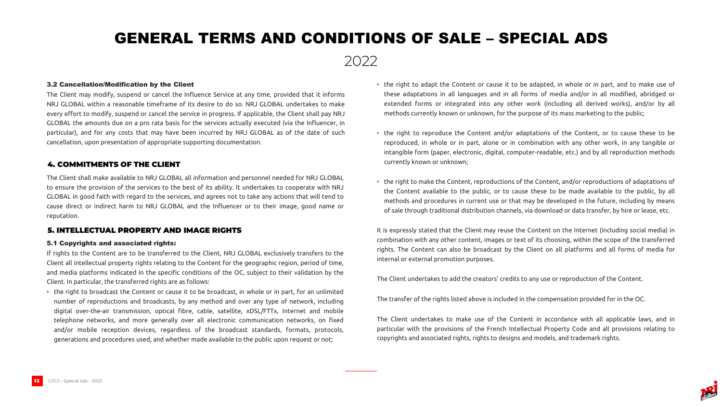

#### 3.2 Cancellation/Modification by the Client

The Client may modify, suspend or cancel the Influence Service at any time, provided that it informs NRJ GLOBAL within a reasonable timeframe of its desire to do so. NRJ GLOBAL undertakes to make every effort to modify, suspend or cancel the service in progress. If applicable, the Client shall pay NRJ GLOBAL the amounts due on a pro rata basis for the services actually executed (via the Influencer, in particular), and for any costs that may have been incurred by NRJ GLOBAL as of the date of such cancellation, upon presentation of appropriate supporting documentation.

• the right to adapt the Content or cause it to be adapted, in whole or in part, and to make use of these adaptations in all languages and in all forms of media and/or in all modified, abridged or extended forms or integrated into any other work (including all derived works), and/or by all methods currently known or unknown, for the purpose of its mass marketing to the public;

• the right to reproduce the Content and/or adaptations of the Content, or to cause these to be reproduced, in whole or in part, alone or in combination with any other work, in any tangible or intangible form (paper, electronic, digital, computer-readable, etc.) and by all reproduction methods

- 
- currently known or unknown;
- 

• the right to make the Content, reproductions of the Content, and/or reproductions of adaptations of the Content available to the public, or to cause these to be made available to the public, by all methods and procedures in current use or that may be developed in the future, including by means of sale through traditional distribution channels, via download or data transfer, by hire or lease, etc.



It is expressly stated that the Client may reuse the Content on the Internet (including social media) in combination with any other content, images or text of its choosing, within the scope of the transferred rights. The Content can also be broadcast by the Client on all platforms and all forms of media for internal or external promotion purposes.

The Client undertakes to add the creators' credits to any use or reproduction of the Content.

The transfer of the rights listed above is included in the compensation provided for in the OC.

The Client undertakes to make use of the Content in accordance with all applicable laws, and in particular with the provisions of the French Intellectual Property Code and all provisions relating to copyrights and associated rights, rights to designs and models, and trademark rights.

The Client shall make available to NRJ GLOBAL all information and personnel needed for NRJ GLOBAL to ensure the provision of the services to the best of its ability. It undertakes to cooperate with NRJ GLOBAL in good faith with regard to the services, and agrees not to take any actions that will tend to cause direct or indirect harm to NRJ GLOBAL and the Influencer or to their image, good name or reputation.

#### 4. COMMITMENTS OF THE CLIENT

#### 5.1 Copyrights and associated rights:

If rights to the Content are to be transferred to the Client, NRJ GLOBAL exclusively transfers to the Client all intellectual property rights relating to the Content for the geographic region, period of time, and media platforms indicated in the specific conditions of the OC, subject to their validation by the Client. In particular, the transferred rights are as follows:

• the right to broadcast the Content or cause it to be broadcast, in whole or in part, for an unlimited number of reproductions and broadcasts, by any method and over any type of network, including digital over-the-air transmission, optical fibre, cable, satellite, xDSL/FTTx, Internet and mobile telephone networks, and more generally over all electronic communication networks, on fixed and/or mobile reception devices, regardless of the broadcast standards, formats, protocols, generations and procedures used, and whether made available to the public upon request or not;

#### 5. INTELLECTUAL PROPERTY AND IMAGE RIGHTS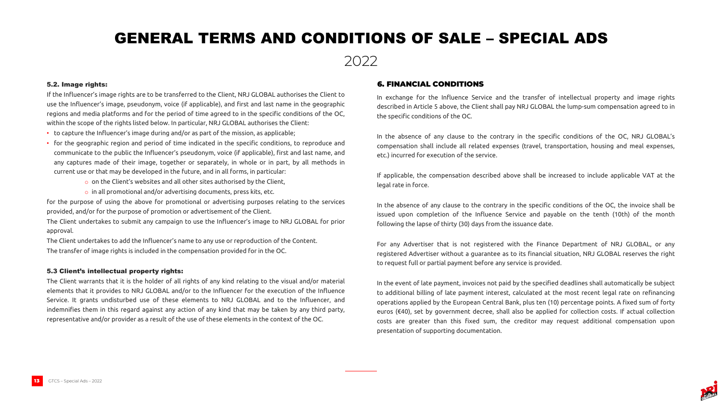

#### 5.2. Image rights:

- to capture the Influencer's image during and/or as part of the mission, as applicable;
- for the geographic region and period of time indicated in the specific conditions, to reproduce and communicate to the public the Influencer's pseudonym, voice (if applicable), first and last name, and any captures made of their image, together or separately, in whole or in part, by all methods in current use or that may be developed in the future, and in all forms, in particular:
	- $\circ$  on the Client's websites and all other sites authorised by the Client,
	- $\circ$  in all promotional and/or advertising documents, press kits, etc.

If the Influencer's image rights are to be transferred to the Client, NRJ GLOBAL authorises the Client to use the Influencer's image, pseudonym, voice (if applicable), and first and last name in the geographic regions and media platforms and for the period of time agreed to in the specific conditions of the OC, within the scope of the rights listed below. In particular, NRJ GLOBAL authorises the Client:

for the purpose of using the above for promotional or advertising purposes relating to the services provided, and/or for the purpose of promotion or advertisement of the Client.

The Client undertakes to submit any campaign to use the Influencer's image to NRJ GLOBAL for prior approval.

The Client undertakes to add the Influencer's name to any use or reproduction of the Content. The transfer of image rights is included in the compensation provided for in the OC.

#### 5.3 Client's intellectual property rights:

The Client warrants that it is the holder of all rights of any kind relating to the visual and/or material elements that it provides to NRJ GLOBAL and/or to the Influencer for the execution of the Influence Service. It grants undisturbed use of these elements to NRJ GLOBAL and to the Influencer, and indemnifies them in this regard against any action of any kind that may be taken by any third party, representative and/or provider as a result of the use of these elements in the context of the OC.

In exchange for the Influence Service and the transfer of intellectual property and image rights described in Article 5 above, the Client shall pay NRJ GLOBAL the lump-sum compensation agreed to in the specific conditions of the OC.

In the absence of any clause to the contrary in the specific conditions of the OC, NRJ GLOBAL's compensation shall include all related expenses (travel, transportation, housing and meal expenses, etc.) incurred for execution of the service.

If applicable, the compensation described above shall be increased to include applicable VAT at the



legal rate in force.

In the absence of any clause to the contrary in the specific conditions of the OC, the invoice shall be issued upon completion of the Influence Service and payable on the tenth (10th) of the month following the lapse of thirty (30) days from the issuance date.

For any Advertiser that is not registered with the Finance Department of NRJ GLOBAL, or any registered Advertiser without a guarantee as to its financial situation, NRJ GLOBAL reserves the right to request full or partial payment before any service is provided.

In the event of late payment, invoices not paid by the specified deadlines shall automatically be subject to additional billing of late payment interest, calculated at the most recent legal rate on refinancing operations applied by the European Central Bank, plus ten (10) percentage points. A fixed sum of forty euros (€40), set by government decree, shall also be applied for collection costs. If actual collection costs are greater than this fixed sum, the creditor may request additional compensation upon presentation of supporting documentation.

### 6. FINANCIAL CONDITIONS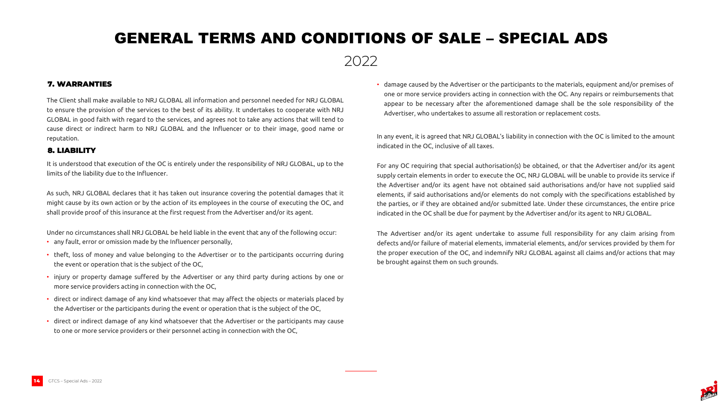

• damage caused by the Advertiser or the participants to the materials, equipment and/or premises of one or more service providers acting in connection with the OC. Any repairs or reimbursements that appear to be necessary after the aforementioned damage shall be the sole responsibility of the Advertiser, who undertakes to assume all restoration or replacement costs.



In any event, it is agreed that NRJ GLOBAL's liability in connection with the OC is limited to the amount indicated in the OC, inclusive of all taxes.

For any OC requiring that special authorisation(s) be obtained, or that the Advertiser and/or its agent supply certain elements in order to execute the OC, NRJ GLOBAL will be unable to provide its service if the Advertiser and/or its agent have not obtained said authorisations and/or have not supplied said elements, if said authorisations and/or elements do not comply with the specifications established by the parties, or if they are obtained and/or submitted late. Under these circumstances, the entire price indicated in the OC shall be due for payment by the Advertiser and/or its agent to NRJ GLOBAL.

The Advertiser and/or its agent undertake to assume full responsibility for any claim arising from defects and/or failure of material elements, immaterial elements, and/or services provided by them for the proper execution of the OC, and indemnify NRJ GLOBAL against all claims and/or actions that may be brought against them on such grounds.

The Client shall make available to NRJ GLOBAL all information and personnel needed for NRJ GLOBAL to ensure the provision of the services to the best of its ability. It undertakes to cooperate with NRJ GLOBAL in good faith with regard to the services, and agrees not to take any actions that will tend to cause direct or indirect harm to NRJ GLOBAL and the Influencer or to their image, good name or reputation.

### 7. WARRANTIES

It is understood that execution of the OC is entirely under the responsibility of NRJ GLOBAL, up to the limits of the liability due to the Influencer.

As such, NRJ GLOBAL declares that it has taken out insurance covering the potential damages that it might cause by its own action or by the action of its employees in the course of executing the OC, and shall provide proof of this insurance at the first request from the Advertiser and/or its agent.

Under no circumstances shall NRJ GLOBAL be held liable in the event that any of the following occur:

- any fault, error or omission made by the Influencer personally,
- theft, loss of money and value belonging to the Advertiser or to the participants occurring during the event or operation that is the subject of the OC,
- injury or property damage suffered by the Advertiser or any third party during actions by one or more service providers acting in connection with the OC,
- direct or indirect damage of any kind whatsoever that may affect the objects or materials placed by the Advertiser or the participants during the event or operation that is the subject of the OC,
- direct or indirect damage of any kind whatsoever that the Advertiser or the participants may cause to one or more service providers or their personnel acting in connection with the OC,

### 8. LIABILITY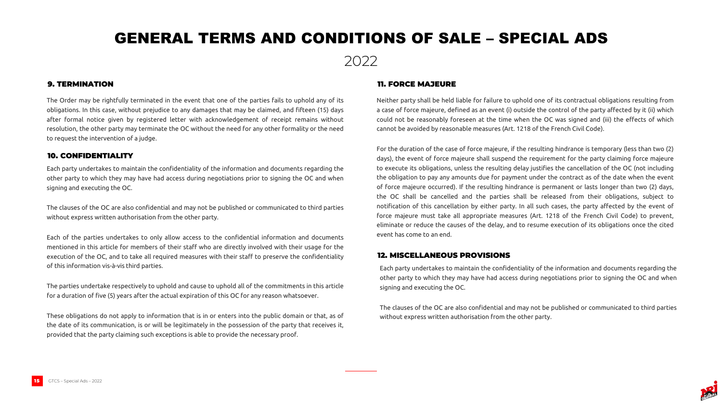



The Order may be rightfully terminated in the event that one of the parties fails to uphold any of its obligations. In this case, without prejudice to any damages that may be claimed, and fifteen (15) days after formal notice given by registered letter with acknowledgement of receipt remains without resolution, the other party may terminate the OC without the need for any other formality or the need to request the intervention of a judge.

### 9. TERMINATION

Each party undertakes to maintain the confidentiality of the information and documents regarding the other party to which they may have had access during negotiations prior to signing the OC and when signing and executing the OC.

The clauses of the OC are also confidential and may not be published or communicated to third parties without express written authorisation from the other party.

Each of the parties undertakes to only allow access to the confidential information and documents mentioned in this article for members of their staff who are directly involved with their usage for the execution of the OC, and to take all required measures with their staff to preserve the confidentiality of this information vis-à-vis third parties.

The parties undertake respectively to uphold and cause to uphold all of the commitments in this article for a duration of five (5) years after the actual expiration of this OC for any reason whatsoever.

These obligations do not apply to information that is in or enters into the public domain or that, as of the date of its communication, is or will be legitimately in the possession of the party that receives it, provided that the party claiming such exceptions is able to provide the necessary proof.

### 10. CONFIDENTIALITY

Neither party shall be held liable for failure to uphold one of its contractual obligations resulting from a case of force majeure, defined as an event (i) outside the control of the party affected by it (ii) which could not be reasonably foreseen at the time when the OC was signed and (iii) the effects of which cannot be avoided by reasonable measures (Art. 1218 of the French Civil Code).

For the duration of the case of force majeure, if the resulting hindrance is temporary (less than two (2) days), the event of force majeure shall suspend the requirement for the party claiming force majeure to execute its obligations, unless the resulting delay justifies the cancellation of the OC (not including the obligation to pay any amounts due for payment under the contract as of the date when the event of force majeure occurred). If the resulting hindrance is permanent or lasts longer than two (2) days, the OC shall be cancelled and the parties shall be released from their obligations, subject to notification of this cancellation by either party. In all such cases, the party affected by the event of force majeure must take all appropriate measures (Art. 1218 of the French Civil Code) to prevent, eliminate or reduce the causes of the delay, and to resume execution of its obligations once the cited event has come to an end.

### 11. FORCE MAJEURE

Each party undertakes to maintain the confidentiality of the information and documents regarding the other party to which they may have had access during negotiations prior to signing the OC and when signing and executing the OC.

The clauses of the OC are also confidential and may not be published or communicated to third parties without express written authorisation from the other party.

### 12. MISCELLANEOUS PROVISIONS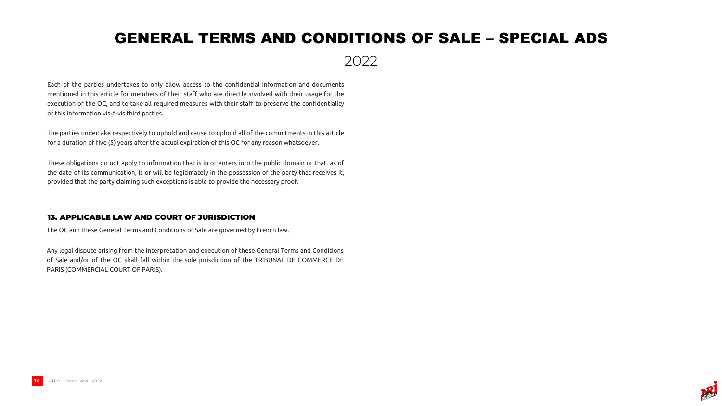

### 2022

Each of the parties undertakes to only allow access to the confidential information and documents mentioned in this article for members of their staff who are directly involved with their usage for the execution of the OC, and to take all required measures with their staff to preserve the confidentiality of this information vis-à-vis third parties.

The parties undertake respectively to uphold and cause to uphold all of the commitments in this article for a duration of five (5) years after the actual expiration of this OC for any reason whatsoever.

These obligations do not apply to information that is in or enters into the public domain or that, as of the date of its communication, is or will be legitimately in the possession of the party that receives it, provided that the party claiming such exceptions is able to provide the necessary proof.

The OC and these General Terms and Conditions of Sale are governed by French law.

Any legal dispute arising from the interpretation and execution of these General Terms and Conditions of Sale and/or of the OC shall fall within the sole jurisdiction of the TRIBUNAL DE COMMERCE DE PARIS (COMMERCIAL COURT OF PARIS).

### 13. APPLICABLE LAW AND COURT OF JURISDICTION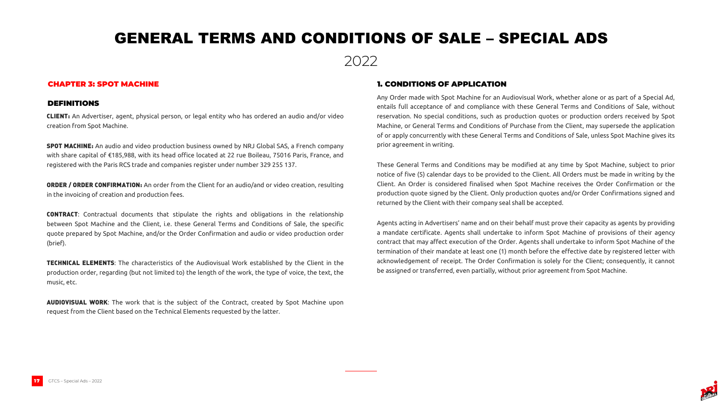



CLIENT: An Advertiser, agent, physical person, or legal entity who has ordered an audio and/or video creation from Spot Machine.

SPOT MACHINE: An audio and video production business owned by NRJ Global SAS, a French company with share capital of €185,988, with its head office located at 22 rue Boileau, 75016 Paris, France, and registered with the Paris RCS trade and companies register under number 329 255 137.

ORDER / ORDER CONFIRMATION: An order from the Client for an audio/and or video creation, resulting in the invoicing of creation and production fees.

**AUDIOVISUAL WORK:** The work that is the subject of the Contract, created by Spot Machine upon request from the Client based on the Technical Elements requested by the latter.

CONTRACT: Contractual documents that stipulate the rights and obligations in the relationship between Spot Machine and the Client, i.e. these General Terms and Conditions of Sale, the specific quote prepared by Spot Machine, and/or the Order Confirmation and audio or video production order (brief).

TECHNICAL ELEMENTS: The characteristics of the Audiovisual Work established by the Client in the production order, regarding (but not limited to) the length of the work, the type of voice, the text, the music, etc.

Any Order made with Spot Machine for an Audiovisual Work, whether alone or as part of a Special Ad, entails full acceptance of and compliance with these General Terms and Conditions of Sale, without reservation. No special conditions, such as production quotes or production orders received by Spot Machine, or General Terms and Conditions of Purchase from the Client, may supersede the application of or apply concurrently with these General Terms and Conditions of Sale, unless Spot Machine gives its prior agreement in writing.

These General Terms and Conditions may be modified at any time by Spot Machine, subject to prior notice of five (5) calendar days to be provided to the Client. All Orders must be made in writing by the Client. An Order is considered finalised when Spot Machine receives the Order Confirmation or the production quote signed by the Client. Only production quotes and/or Order Confirmations signed and returned by the Client with their company seal shall be accepted.

Agents acting in Advertisers' name and on their behalf must prove their capacity as agents by providing a mandate certificate. Agents shall undertake to inform Spot Machine of provisions of their agency contract that may affect execution of the Order. Agents shall undertake to inform Spot Machine of the termination of their mandate at least one (1) month before the effective date by registered letter with acknowledgement of receipt. The Order Confirmation is solely for the Client; consequently, it cannot be assigned or transferred, even partially, without prior agreement from Spot Machine.

### CHAPTER 3: SPOT MACHINE

#### DEFINITIONS

### 1. CONDITIONS OF APPLICATION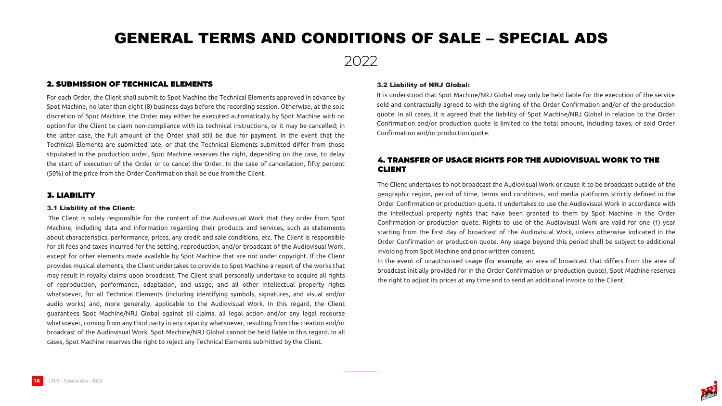

For each Order, the Client shall submit to Spot Machine the Technical Elements approved in advance by Spot Machine, no later than eight (8) business days before the recording session. Otherwise, at the sole discretion of Spot Machine, the Order may either be executed automatically by Spot Machine with no option for the Client to claim non-compliance with its technical instructions, or it may be cancelled; in the latter case, the full amount of the Order shall still be due for payment. In the event that the Technical Elements are submitted late, or that the Technical Elements submitted differ from those stipulated in the production order, Spot Machine reserves the right, depending on the case, to delay the start of execution of the Order or to cancel the Order. In the case of cancellation, fifty percent (50%) of the price from the Order Confirmation shall be due from the Client.

### 2. SUBMISSION OF TECHNICAL ELEMENTS

#### 3.1 Liability of the Client:

The Client is solely responsible for the content of the Audiovisual Work that they order from Spot Machine, including data and information regarding their products and services, such as statements about characteristics, performance, prices, any credit and sale conditions, etc. The Client is responsible for all fees and taxes incurred for the setting, reproduction, and/or broadcast of the Audiovisual Work, except for other elements made available by Spot Machine that are not under copyright. If the Client provides musical elements, the Client undertakes to provide to Spot Machine a report of the works that may result in royalty claims upon broadcast. The Client shall personally undertake to acquire all rights of reproduction, performance, adaptation, and usage, and all other intellectual property rights whatsoever, for all Technical Elements (including identifying symbols, signatures, and visual and/or audio works) and, more generally, applicable to the Audiovisual Work. In this regard, the Client guarantees Spot Machine/NRJ Global against all claims, all legal action and/or any legal recourse whatsoever, coming from any third party in any capacity whatsoever, resulting from the creation and/or broadcast of the Audiovisual Work. Spot Machine/NRJ Global cannot be held liable in this regard. In all cases, Spot Machine reserves the right to reject any Technical Elements submitted by the Client.

### 3. LIABILITY

#### 3.2 Liability of NRJ Global:

It is understood that Spot Machine/NRJ Global may only be held liable for the execution of the service sold and contractually agreed to with the signing of the Order Confirmation and/or of the production quote. In all cases, it is agreed that the liability of Spot Machine/NRJ Global in relation to the Order Confirmation and/or production quote is limited to the total amount, including taxes, of said Order Confirmation and/or production quote.

The Client undertakes to not broadcast the Audiovisual Work or cause it to be broadcast outside of the geographic region, period of time, terms and conditions, and media platforms strictly defined in the Order Confirmation or production quote. It undertakes to use the Audiovisual Work in accordance with the intellectual property rights that have been granted to them by Spot Machine in the Order Confirmation or production quote. Rights to use of the Audiovisual Work are valid for one (1) year starting from the first day of broadcast of the Audiovisual Work, unless otherwise indicated in the Order Confirmation or production quote. Any usage beyond this period shall be subject to additional invoicing from Spot Machine and prior written consent. In the event of unauthorised usage (for example, an area of broadcast that differs from the area of broadcast initially provided for in the Order Confirmation or production quote), Spot Machine reserves the right to adjust its prices at any time and to send an additional invoice to the Client.

### 4. TRANSFER OF USAGE RIGHTS FOR THE AUDIOVISUAL WORK TO THE



### CLIENT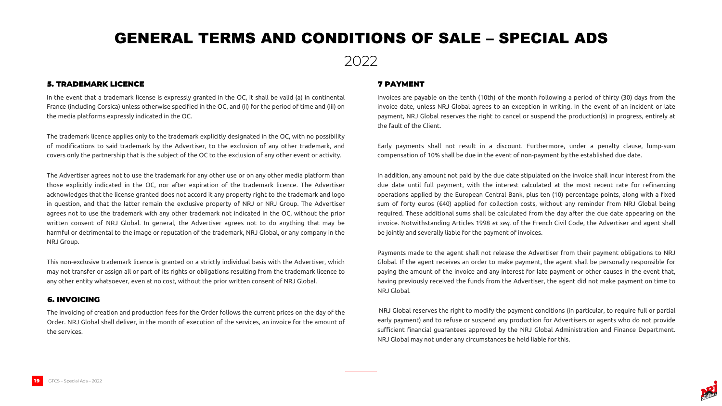



In the event that a trademark license is expressly granted in the OC, it shall be valid (a) in continental France (including Corsica) unless otherwise specified in the OC, and (ii) for the period of time and (iii) on the media platforms expressly indicated in the OC.

The trademark licence applies only to the trademark explicitly designated in the OC, with no possibility of modifications to said trademark by the Advertiser, to the exclusion of any other trademark, and covers only the partnership that is the subject of the OC to the exclusion of any other event or activity.

The Advertiser agrees not to use the trademark for any other use or on any other media platform than those explicitly indicated in the OC, nor after expiration of the trademark licence. The Advertiser acknowledges that the license granted does not accord it any property right to the trademark and logo in question, and that the latter remain the exclusive property of NRJ or NRJ Group. The Advertiser agrees not to use the trademark with any other trademark not indicated in the OC, without the prior written consent of NRJ Global. In general, the Advertiser agrees not to do anything that may be harmful or detrimental to the image or reputation of the trademark, NRJ Global, or any company in the NRJ Group.

This non-exclusive trademark licence is granted on a strictly individual basis with the Advertiser, which may not transfer or assign all or part of its rights or obligations resulting from the trademark licence to any other entity whatsoever, even at no cost, without the prior written consent of NRJ Global.

### 5. TRADEMARK LICENCE

Invoices are payable on the tenth (10th) of the month following a period of thirty (30) days from the invoice date, unless NRJ Global agrees to an exception in writing. In the event of an incident or late payment, NRJ Global reserves the right to cancel or suspend the production(s) in progress, entirely at the fault of the Client.

Early payments shall not result in a discount. Furthermore, under a penalty clause, lump-sum compensation of 10% shall be due in the event of non-payment by the established due date.

In addition, any amount not paid by the due date stipulated on the invoice shall incur interest from the due date until full payment, with the interest calculated at the most recent rate for refinancing operations applied by the European Central Bank, plus ten (10) percentage points, along with a fixed sum of forty euros (€40) applied for collection costs, without any reminder from NRJ Global being required. These additional sums shall be calculated from the day after the due date appearing on the invoice. Notwithstanding Articles 1998 *et seq.* of the French Civil Code, the Advertiser and agent shall be jointly and severally liable for the payment of invoices.

Payments made to the agent shall not release the Advertiser from their payment obligations to NRJ Global. If the agent receives an order to make payment, the agent shall be personally responsible for paying the amount of the invoice and any interest for late payment or other causes in the event that, having previously received the funds from the Advertiser, the agent did not make payment on time to NRJ Global.

NRJ Global reserves the right to modify the payment conditions (in particular, to require full or partial early payment) and to refuse or suspend any production for Advertisers or agents who do not provide sufficient financial guarantees approved by the NRJ Global Administration and Finance Department. NRJ Global may not under any circumstances be held liable for this.

### 7 PAYMENT

The invoicing of creation and production fees for the Order follows the current prices on the day of the Order. NRJ Global shall deliver, in the month of execution of the services, an invoice for the amount of the services.

### 6. INVOICING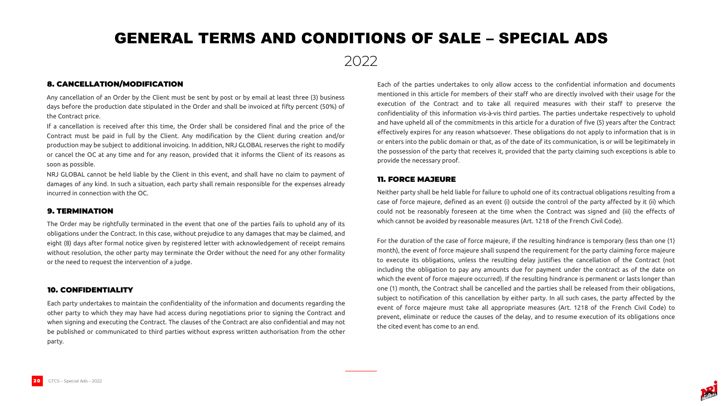

2022

Any cancellation of an Order by the Client must be sent by post or by email at least three (3) business days before the production date stipulated in the Order and shall be invoiced at fifty percent (50%) of the Contract price.

If a cancellation is received after this time, the Order shall be considered final and the price of the Contract must be paid in full by the Client. Any modification by the Client during creation and/or production may be subject to additional invoicing. In addition, NRJ GLOBAL reserves the right to modify or cancel the OC at any time and for any reason, provided that it informs the Client of its reasons as soon as possible.

NRJ GLOBAL cannot be held liable by the Client in this event, and shall have no claim to payment of damages of any kind. In such a situation, each party shall remain responsible for the expenses already incurred in connection with the OC.

8. CANCELLATION/MODIFICATION Each of the parties undertakes to only allow access to the confidential information and documents mentioned in this article for members of their staff who are directly involved with their usage for the execution of the Contract and to take all required measures with their staff to preserve the confidentiality of this information vis-à-vis third parties. The parties undertake respectively to uphold and have upheld all of the commitments in this article for a duration of five (5) years after the Contract effectively expires for any reason whatsoever. These obligations do not apply to information that is in or enters into the public domain or that, as of the date of its communication, is or will be legitimately in the possession of the party that receives it, provided that the party claiming such exceptions is able to provide the necessary proof.

The Order may be rightfully terminated in the event that one of the parties fails to uphold any of its obligations under the Contract. In this case, without prejudice to any damages that may be claimed, and eight (8) days after formal notice given by registered letter with acknowledgement of receipt remains without resolution, the other party may terminate the Order without the need for any other formality or the need to request the intervention of a judge.

### 9. TERMINATION

Each party undertakes to maintain the confidentiality of the information and documents regarding the other party to which they may have had access during negotiations prior to signing the Contract and when signing and executing the Contract. The clauses of the Contract are also confidential and may not be published or communicated to third parties without express written authorisation from the other party.

### 10. CONFIDENTIALITY

Neither party shall be held liable for failure to uphold one of its contractual obligations resulting from a case of force majeure, defined as an event (i) outside the control of the party affected by it (ii) which could not be reasonably foreseen at the time when the Contract was signed and (iii) the effects of which cannot be avoided by reasonable measures (Art. 1218 of the French Civil Code).

For the duration of the case of force majeure, if the resulting hindrance is temporary (less than one (1) month), the event of force majeure shall suspend the requirement for the party claiming force majeure to execute its obligations, unless the resulting delay justifies the cancellation of the Contract (not including the obligation to pay any amounts due for payment under the contract as of the date on which the event of force majeure occurred). If the resulting hindrance is permanent or lasts longer than one (1) month, the Contract shall be cancelled and the parties shall be released from their obligations, subject to notification of this cancellation by either party. In all such cases, the party affected by the event of force majeure must take all appropriate measures (Art. 1218 of the French Civil Code) to prevent, eliminate or reduce the causes of the delay, and to resume execution of its obligations once the cited event has come to an end.

### 11. FORCE MAJEURE